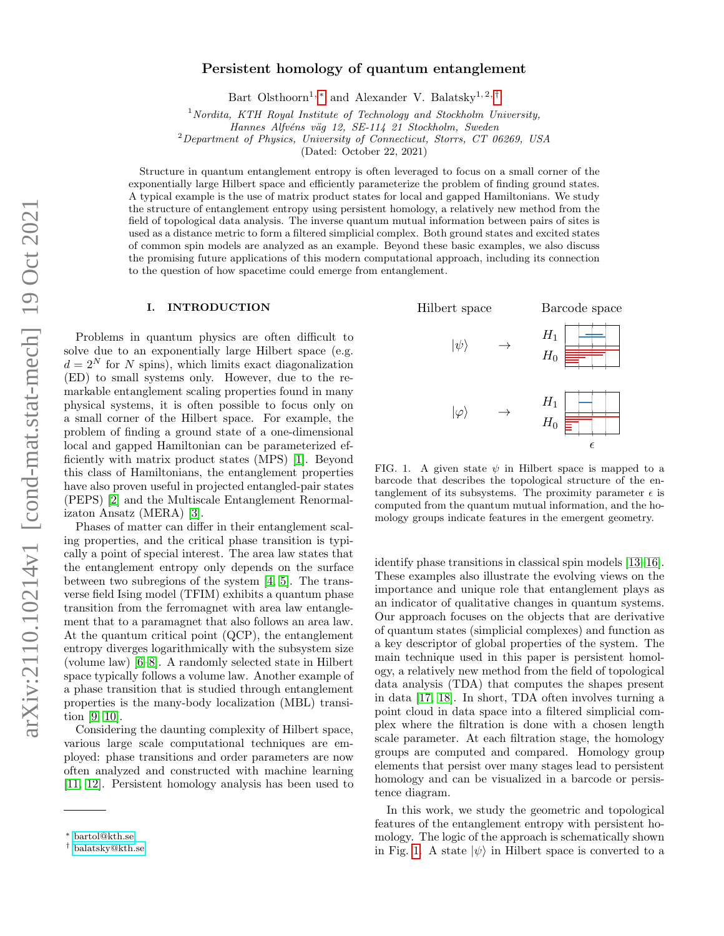# Persistent homology of quantum entanglement

Bart Olsthoorn<sup>1, \*</sup> and Alexander V. Balatsky<sup>1, 2, [†](#page-0-1)</sup>

<sup>1</sup> Nordita, KTH Royal Institute of Technology and Stockholm University,

Hannes Alfvéns väg 12, SE-114 21 Stockholm, Sweden

<sup>2</sup>Department of Physics, University of Connecticut, Storrs, CT 06269, USA

(Dated: October 22, 2021)

Structure in quantum entanglement entropy is often leveraged to focus on a small corner of the exponentially large Hilbert space and efficiently parameterize the problem of finding ground states. A typical example is the use of matrix product states for local and gapped Hamiltonians. We study the structure of entanglement entropy using persistent homology, a relatively new method from the field of topological data analysis. The inverse quantum mutual information between pairs of sites is used as a distance metric to form a filtered simplicial complex. Both ground states and excited states of common spin models are analyzed as an example. Beyond these basic examples, we also discuss the promising future applications of this modern computational approach, including its connection to the question of how spacetime could emerge from entanglement.

#### I. INTRODUCTION

Problems in quantum physics are often difficult to solve due to an exponentially large Hilbert space (e.g.  $d = 2^N$  for N spins), which limits exact diagonalization (ED) to small systems only. However, due to the remarkable entanglement scaling properties found in many physical systems, it is often possible to focus only on a small corner of the Hilbert space. For example, the problem of finding a ground state of a one-dimensional local and gapped Hamiltonian can be parameterized efficiently with matrix product states (MPS) [\[1\]](#page-5-0). Beyond this class of Hamiltonians, the entanglement properties have also proven useful in projected entangled-pair states (PEPS) [\[2\]](#page-5-1) and the Multiscale Entanglement Renormalizaton Ansatz (MERA) [\[3\]](#page-5-2).

Phases of matter can differ in their entanglement scaling properties, and the critical phase transition is typically a point of special interest. The area law states that the entanglement entropy only depends on the surface between two subregions of the system [\[4,](#page-5-3) [5\]](#page-5-4). The transverse field Ising model (TFIM) exhibits a quantum phase transition from the ferromagnet with area law entanglement that to a paramagnet that also follows an area law. At the quantum critical point (QCP), the entanglement entropy diverges logarithmically with the subsystem size (volume law) [\[6](#page-5-5)[–8\]](#page-6-0). A randomly selected state in Hilbert space typically follows a volume law. Another example of a phase transition that is studied through entanglement properties is the many-body localization (MBL) transition [\[9,](#page-6-1) [10\]](#page-6-2).

Considering the daunting complexity of Hilbert space, various large scale computational techniques are employed: phase transitions and order parameters are now often analyzed and constructed with machine learning [\[11,](#page-6-3) [12\]](#page-6-4). Persistent homology analysis has been used to



<span id="page-0-2"></span>FIG. 1. A given state  $\psi$  in Hilbert space is mapped to a barcode that describes the topological structure of the entanglement of its subsystems. The proximity parameter  $\epsilon$  is computed from the quantum mutual information, and the homology groups indicate features in the emergent geometry.

identify phase transitions in classical spin models [\[13–](#page-6-5)[16\]](#page-6-6). These examples also illustrate the evolving views on the importance and unique role that entanglement plays as an indicator of qualitative changes in quantum systems. Our approach focuses on the objects that are derivative of quantum states (simplicial complexes) and function as a key descriptor of global properties of the system. The main technique used in this paper is persistent homology, a relatively new method from the field of topological data analysis (TDA) that computes the shapes present in data [\[17,](#page-6-7) [18\]](#page-6-8). In short, TDA often involves turning a point cloud in data space into a filtered simplicial complex where the filtration is done with a chosen length scale parameter. At each filtration stage, the homology groups are computed and compared. Homology group elements that persist over many stages lead to persistent homology and can be visualized in a barcode or persistence diagram.

In this work, we study the geometric and topological features of the entanglement entropy with persistent homology. The logic of the approach is schematically shown in Fig. [1.](#page-0-2) A state  $|\psi\rangle$  in Hilbert space is converted to a

<span id="page-0-0"></span><sup>∗</sup> [bartol@kth.se](mailto:bartol@kth.se)

<span id="page-0-1"></span><sup>†</sup> [balatsky@kth.se](mailto:balatsky@kth.se)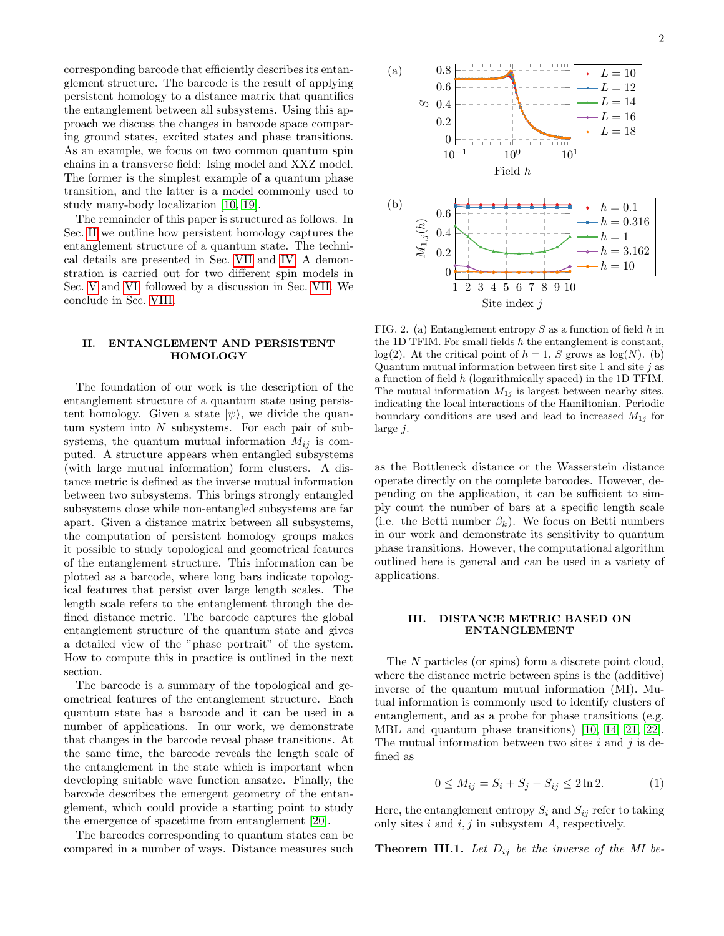corresponding barcode that efficiently describes its entanglement structure. The barcode is the result of applying persistent homology to a distance matrix that quantifies the entanglement between all subsystems. Using this approach we discuss the changes in barcode space comparing ground states, excited states and phase transitions. As an example, we focus on two common quantum spin chains in a transverse field: Ising model and XXZ model. The former is the simplest example of a quantum phase transition, and the latter is a model commonly used to study many-body localization [\[10,](#page-6-2) [19\]](#page-6-9).

The remainder of this paper is structured as follows. In Sec. [II](#page-1-0) we outline how persistent homology captures the entanglement structure of a quantum state. The technical details are presented in Sec. [VII](#page-4-0) and [IV.](#page-2-0) A demonstration is carried out for two different spin models in Sec. [V](#page-3-0) and [VI,](#page-3-1) followed by a discussion in Sec. [VII.](#page-4-0) We conclude in Sec. [VIII.](#page-5-6)

# <span id="page-1-0"></span>II. ENTANGLEMENT AND PERSISTENT HOMOLOGY

The foundation of our work is the description of the entanglement structure of a quantum state using persistent homology. Given a state  $|\psi\rangle$ , we divide the quantum system into  $N$  subsystems. For each pair of subsystems, the quantum mutual information  $M_{ij}$  is computed. A structure appears when entangled subsystems (with large mutual information) form clusters. A distance metric is defined as the inverse mutual information between two subsystems. This brings strongly entangled subsystems close while non-entangled subsystems are far apart. Given a distance matrix between all subsystems, the computation of persistent homology groups makes it possible to study topological and geometrical features of the entanglement structure. This information can be plotted as a barcode, where long bars indicate topological features that persist over large length scales. The length scale refers to the entanglement through the defined distance metric. The barcode captures the global entanglement structure of the quantum state and gives a detailed view of the "phase portrait" of the system. How to compute this in practice is outlined in the next section.

The barcode is a summary of the topological and geometrical features of the entanglement structure. Each quantum state has a barcode and it can be used in a number of applications. In our work, we demonstrate that changes in the barcode reveal phase transitions. At the same time, the barcode reveals the length scale of the entanglement in the state which is important when developing suitable wave function ansatze. Finally, the barcode describes the emergent geometry of the entanglement, which could provide a starting point to study the emergence of spacetime from entanglement [\[20\]](#page-6-10).

The barcodes corresponding to quantum states can be compared in a number of ways. Distance measures such



<span id="page-1-1"></span>FIG. 2. (a) Entanglement entropy  $S$  as a function of field  $h$  in the 1D TFIM. For small fields  $h$  the entanglement is constant,  $log(2)$ . At the critical point of  $h = 1$ , S grows as  $log(N)$ . (b) Quantum mutual information between first site 1 and site  $j$  as a function of field h (logarithmically spaced) in the 1D TFIM. The mutual information  $M_{1j}$  is largest between nearby sites, indicating the local interactions of the Hamiltonian. Periodic boundary conditions are used and lead to increased  $M_{1j}$  for large j.

1 2 3 4 5 6 7 8 9 10

Site index  $j$ 

as the Bottleneck distance or the Wasserstein distance operate directly on the complete barcodes. However, depending on the application, it can be sufficient to simply count the number of bars at a specific length scale (i.e. the Betti number  $\beta_k$ ). We focus on Betti numbers in our work and demonstrate its sensitivity to quantum phase transitions. However, the computational algorithm outlined here is general and can be used in a variety of applications.

## III. DISTANCE METRIC BASED ON ENTANGLEMENT

The N particles (or spins) form a discrete point cloud, where the distance metric between spins is the (additive) inverse of the quantum mutual information (MI). Mutual information is commonly used to identify clusters of entanglement, and as a probe for phase transitions (e.g. MBL and quantum phase transitions) [\[10,](#page-6-2) [14,](#page-6-11) [21,](#page-6-12) [22\]](#page-6-13). The mutual information between two sites  $i$  and  $j$  is defined as

$$
0 \le M_{ij} = S_i + S_j - S_{ij} \le 2 \ln 2. \tag{1}
$$

Here, the entanglement entropy  $S_i$  and  $S_{ij}$  refer to taking only sites  $i$  and  $i, j$  in subsystem  $A$ , respectively.

**Theorem III.1.** Let  $D_{ij}$  be the inverse of the MI be-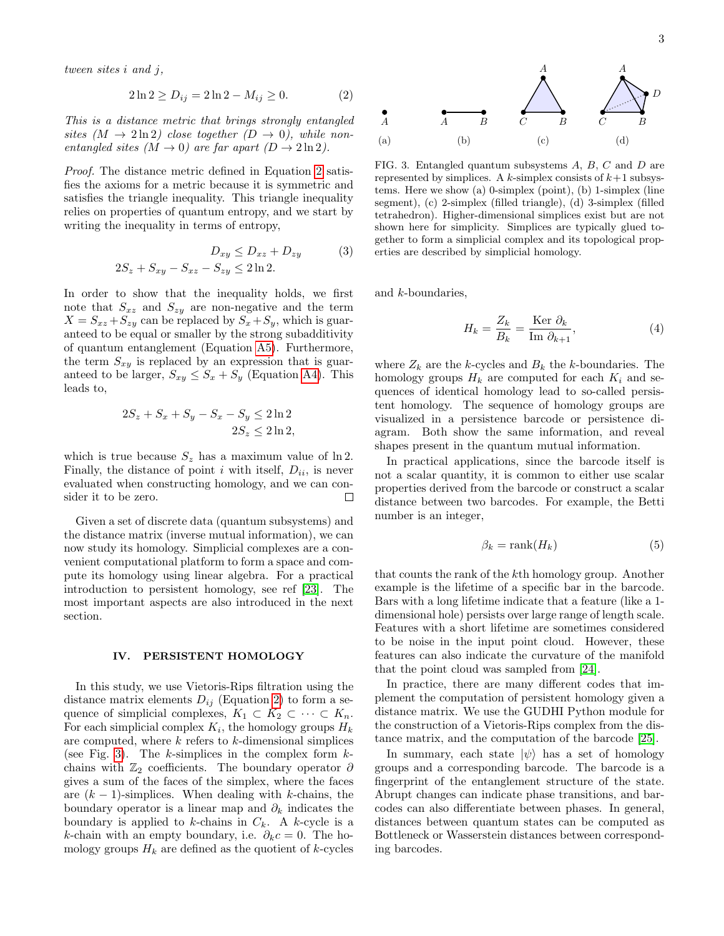tween sites i and j,

<span id="page-2-1"></span>
$$
2\ln 2 \ge D_{ij} = 2\ln 2 - M_{ij} \ge 0. \tag{2}
$$

This is a distance metric that brings strongly entangled sites  $(M \to 2 \ln 2)$  close together  $(D \to 0)$ , while nonentangled sites  $(M \to 0)$  are far apart  $(D \to 2 \ln 2)$ .

Proof. The distance metric defined in Equation [2](#page-2-1) satisfies the axioms for a metric because it is symmetric and satisfies the triangle inequality. This triangle inequality relies on properties of quantum entropy, and we start by writing the inequality in terms of entropy,

$$
D_{xy} \le D_{xz} + D_{zy} \tag{3}
$$
  

$$
2S_z + S_{xy} - S_{xz} - S_{zy} \le 2\ln 2.
$$

In order to show that the inequality holds, we first note that  $S_{xz}$  and  $S_{zy}$  are non-negative and the term  $X = S_{xz} + S_{zy}$  can be replaced by  $S_x + S_y$ , which is guaranteed to be equal or smaller by the strong subadditivity of quantum entanglement (Equation [A5\)](#page-6-14). Furthermore, the term  $S_{xy}$  is replaced by an expression that is guaranteed to be larger,  $S_{xy} \leq S_x + S_y$  (Equation [A4\)](#page-6-15). This leads to,

$$
2S_z + S_x + S_y - S_x - S_y \le 2\ln 2
$$
  

$$
2S_z \le 2\ln 2,
$$

which is true because  $S_z$  has a maximum value of ln 2. Finally, the distance of point i with itself,  $D_{ii}$ , is never evaluated when constructing homology, and we can consider it to be zero.  $\Box$ 

Given a set of discrete data (quantum subsystems) and the distance matrix (inverse mutual information), we can now study its homology. Simplicial complexes are a convenient computational platform to form a space and compute its homology using linear algebra. For a practical introduction to persistent homology, see ref [\[23\]](#page-6-16). The most important aspects are also introduced in the next section.

## <span id="page-2-0"></span>IV. PERSISTENT HOMOLOGY

In this study, we use Vietoris-Rips filtration using the distance matrix elements  $D_{ij}$  (Equation [2\)](#page-2-1) to form a sequence of simplicial complexes,  $K_1 \subset K_2 \subset \cdots \subset K_n$ . For each simplicial complex  $K_i$ , the homology groups  $H_k$ are computed, where  $k$  refers to  $k$ -dimensional simplices (see Fig. [3\)](#page-2-2). The  $k$ -simplices in the complex form  $k$ chains with  $\mathbb{Z}_2$  coefficients. The boundary operator  $\partial$ gives a sum of the faces of the simplex, where the faces are  $(k-1)$ -simplices. When dealing with k-chains, the boundary operator is a linear map and  $\partial_k$  indicates the boundary is applied to k-chains in  $C_k$ . A k-cycle is a k-chain with an empty boundary, i.e.  $\partial_k c = 0$ . The homology groups  $H_k$  are defined as the quotient of k-cycles



<span id="page-2-2"></span>FIG. 3. Entangled quantum subsystems A, B, C and D are represented by simplices. A k-simplex consists of  $k+1$  subsystems. Here we show (a) 0-simplex (point), (b) 1-simplex (line segment), (c) 2-simplex (filled triangle), (d) 3-simplex (filled tetrahedron). Higher-dimensional simplices exist but are not shown here for simplicity. Simplices are typically glued together to form a simplicial complex and its topological properties are described by simplicial homology.

and k-boundaries,

$$
H_k = \frac{Z_k}{B_k} = \frac{\text{Ker }\partial_k}{\text{Im }\partial_{k+1}},\tag{4}
$$

where  $\mathbb{Z}_k$  are the  $k\text{-cycles}$  and  $\mathbb{B}_k$  the  $k\text{-boundaries}.$  The homology groups  $H_k$  are computed for each  $K_i$  and sequences of identical homology lead to so-called persistent homology. The sequence of homology groups are visualized in a persistence barcode or persistence diagram. Both show the same information, and reveal shapes present in the quantum mutual information.

In practical applications, since the barcode itself is not a scalar quantity, it is common to either use scalar properties derived from the barcode or construct a scalar distance between two barcodes. For example, the Betti number is an integer,

<span id="page-2-3"></span>
$$
\beta_k = \text{rank}(H_k) \tag{5}
$$

that counts the rank of the kth homology group. Another example is the lifetime of a specific bar in the barcode. Bars with a long lifetime indicate that a feature (like a 1 dimensional hole) persists over large range of length scale. Features with a short lifetime are sometimes considered to be noise in the input point cloud. However, these features can also indicate the curvature of the manifold that the point cloud was sampled from [\[24\]](#page-6-17).

In practice, there are many different codes that implement the computation of persistent homology given a distance matrix. We use the GUDHI Python module for the construction of a Vietoris-Rips complex from the distance matrix, and the computation of the barcode [\[25\]](#page-6-18).

In summary, each state  $|\psi\rangle$  has a set of homology groups and a corresponding barcode. The barcode is a fingerprint of the entanglement structure of the state. Abrupt changes can indicate phase transitions, and barcodes can also differentiate between phases. In general, distances between quantum states can be computed as Bottleneck or Wasserstein distances between corresponding barcodes.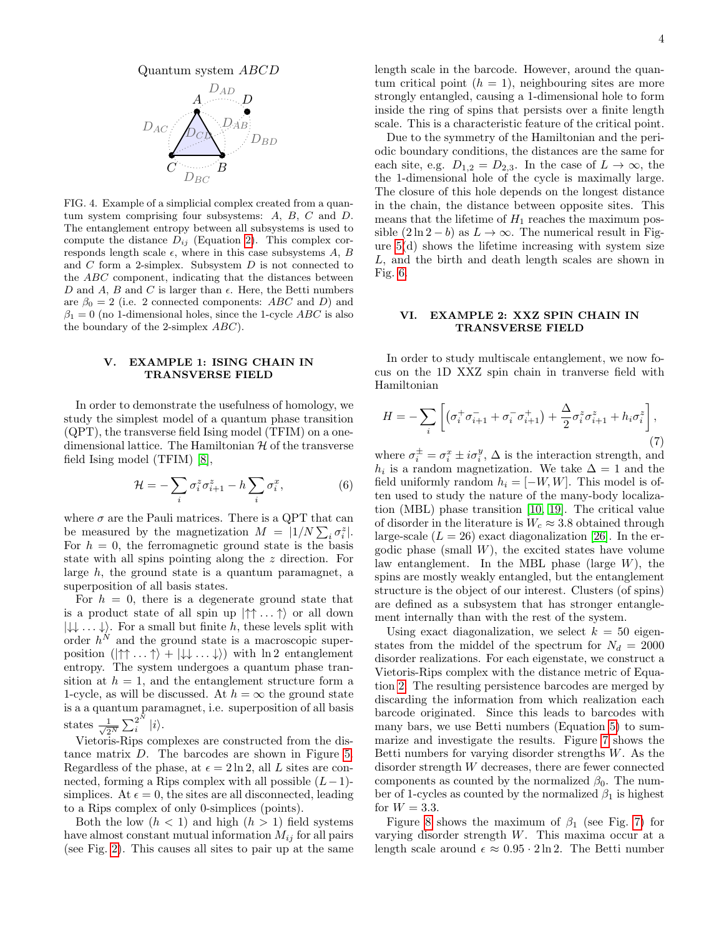

FIG. 4. Example of a simplicial complex created from a quantum system comprising four subsystems: A, B, C and D. The entanglement entropy between all subsystems is used to compute the distance  $D_{ij}$  (Equation [2\)](#page-2-1). This complex corresponds length scale  $\epsilon$ , where in this case subsystems A, B and  $C$  form a 2-simplex. Subsystem  $D$  is not connected to the ABC component, indicating that the distances between D and A, B and C is larger than  $\epsilon$ . Here, the Betti numbers are  $\beta_0 = 2$  (i.e. 2 connected components: ABC and D) and  $\beta_1 = 0$  (no 1-dimensional holes, since the 1-cycle ABC is also the boundary of the 2-simplex ABC).

# <span id="page-3-0"></span>V. EXAMPLE 1: ISING CHAIN IN TRANSVERSE FIELD

In order to demonstrate the usefulness of homology, we study the simplest model of a quantum phase transition (QPT), the transverse field Ising model (TFIM) on a onedimensional lattice. The Hamiltonian  $\mathcal H$  of the transverse field Ising model (TFIM) [\[8\]](#page-6-0),

$$
\mathcal{H} = -\sum_{i} \sigma_i^z \sigma_{i+1}^z - h \sum_{i} \sigma_i^x, \tag{6}
$$

where  $\sigma$  are the Pauli matrices. There is a QPT that can be measured by the magnetization  $M = |1/N \sum_i \sigma_i^z|$ . For  $h = 0$ , the ferromagnetic ground state is the basis state with all spins pointing along the z direction. For large h, the ground state is a quantum paramagnet, a superposition of all basis states.

For  $h = 0$ , there is a degenerate ground state that is a product state of all spin up  $|\uparrow\uparrow\ldots\uparrow\rangle$  or all down  $|\downarrow\downarrow\ldots\downarrow\rangle$ . For a small but finite h, these levels split with order  $h^N$  and the ground state is a macroscopic superposition  $(|\uparrow \uparrow ... \uparrow \rangle + |\downarrow \downarrow ... \downarrow \rangle)$  with ln 2 entanglement entropy. The system undergoes a quantum phase transition at  $h = 1$ , and the entanglement structure form a 1-cycle, as will be discussed. At  $h = \infty$  the ground state is a a quantum paramagnet, i.e. superposition of all basis states  $\frac{1}{\sqrt{2}}$  $\frac{1}{2^N}\sum_i^{2^N}$  $\frac{2}{i}$   $|i\rangle$ .

Vietoris-Rips complexes are constructed from the distance matrix D. The barcodes are shown in Figure [5.](#page-4-1) Regardless of the phase, at  $\epsilon = 2 \ln 2$ , all L sites are connected, forming a Rips complex with all possible  $(L-1)$ simplices. At  $\epsilon = 0$ , the sites are all disconnected, leading to a Rips complex of only 0-simplices (points).

Both the low  $(h < 1)$  and high  $(h > 1)$  field systems have almost constant mutual information  $M_{ij}$  for all pairs (see Fig. [2\)](#page-1-1). This causes all sites to pair up at the same length scale in the barcode. However, around the quantum critical point  $(h = 1)$ , neighbouring sites are more strongly entangled, causing a 1-dimensional hole to form inside the ring of spins that persists over a finite length scale. This is a characteristic feature of the critical point.

Due to the symmetry of the Hamiltonian and the periodic boundary conditions, the distances are the same for each site, e.g.  $D_{1,2} = D_{2,3}$ . In the case of  $L \to \infty$ , the the 1-dimensional hole of the cycle is maximally large. The closure of this hole depends on the longest distance in the chain, the distance between opposite sites. This means that the lifetime of  $H_1$  reaches the maximum possible  $(2 \ln 2 - b)$  as  $L \to \infty$ . The numerical result in Figure [5\(](#page-4-1)d) shows the lifetime increasing with system size L, and the birth and death length scales are shown in Fig. [6.](#page-4-2)

## <span id="page-3-1"></span>VI. EXAMPLE 2: XXZ SPIN CHAIN IN TRANSVERSE FIELD

In order to study multiscale entanglement, we now focus on the 1D XXZ spin chain in tranverse field with Hamiltonian

$$
H = -\sum_{i} \left[ \left( \sigma_i^+ \sigma_{i+1}^- + \sigma_i^- \sigma_{i+1}^+ \right) + \frac{\Delta}{2} \sigma_i^z \sigma_{i+1}^z + h_i \sigma_i^z \right], \tag{7}
$$

where  $\sigma_i^{\pm} = \sigma_i^x \pm i\sigma_i^y$ ,  $\Delta$  is the interaction strength, and  $h_i$  is a random magnetization. We take  $\Delta = 1$  and the field uniformly random  $h_i = [-W, W]$ . This model is often used to study the nature of the many-body localization (MBL) phase transition [\[10,](#page-6-2) [19\]](#page-6-9). The critical value of disorder in the literature is  $W_c \approx 3.8$  obtained through large-scale  $(L = 26)$  exact diagonalization [\[26\]](#page-6-19). In the ergodic phase (small  $W$ ), the excited states have volume law entanglement. In the MBL phase (large  $W$ ), the spins are mostly weakly entangled, but the entanglement structure is the object of our interest. Clusters (of spins) are defined as a subsystem that has stronger entanglement internally than with the rest of the system.

Using exact diagonalization, we select  $k = 50$  eigenstates from the middel of the spectrum for  $N_d = 2000$ disorder realizations. For each eigenstate, we construct a Vietoris-Rips complex with the distance metric of Equation [2.](#page-2-1) The resulting persistence barcodes are merged by discarding the information from which realization each barcode originated. Since this leads to barcodes with many bars, we use Betti numbers (Equation [5\)](#page-2-3) to summarize and investigate the results. Figure [7](#page-4-3) shows the Betti numbers for varying disorder strengths W. As the disorder strength W decreases, there are fewer connected components as counted by the normalized  $\beta_0$ . The number of 1-cycles as counted by the normalized  $\beta_1$  is highest for  $W = 3.3$ .

Figure [8](#page-5-7) shows the maximum of  $\beta_1$  (see Fig. [7\)](#page-4-3) for varying disorder strength W. This maxima occur at a length scale around  $\epsilon \approx 0.95 \cdot 2 \ln 2$ . The Betti number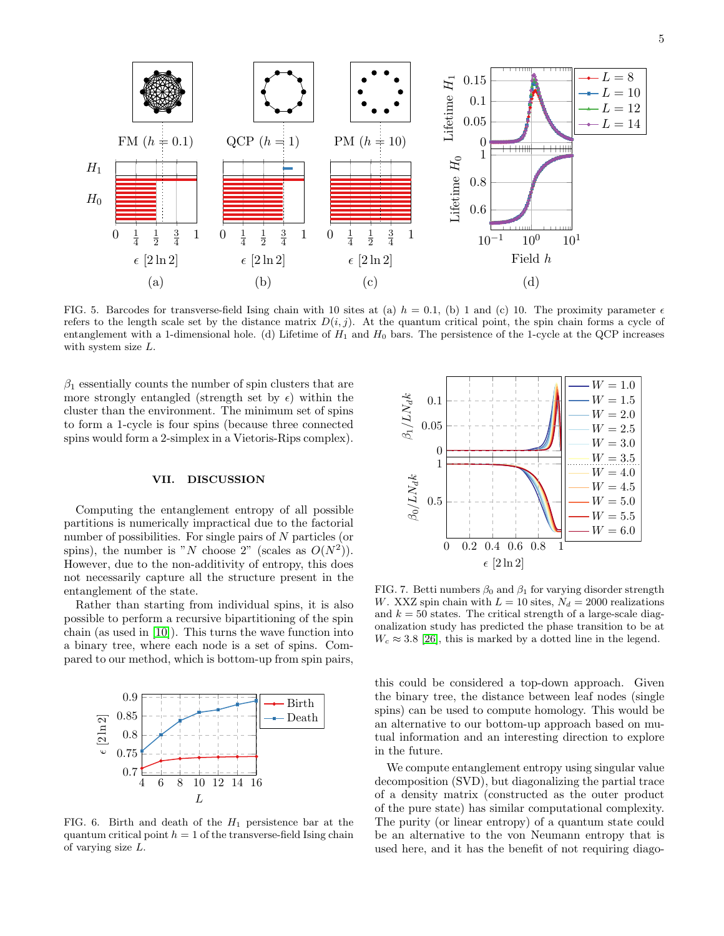

<span id="page-4-1"></span>FIG. 5. Barcodes for transverse-field Ising chain with 10 sites at (a)  $h = 0.1$ , (b) 1 and (c) 10. The proximity parameter  $\epsilon$ refers to the length scale set by the distance matrix  $D(i, j)$ . At the quantum critical point, the spin chain forms a cycle of entanglement with a 1-dimensional hole. (d) Lifetime of  $H_1$  and  $H_0$  bars. The persistence of the 1-cycle at the QCP increases with system size L.

 $\beta_1$  essentially counts the number of spin clusters that are more strongly entangled (strength set by  $\epsilon$ ) within the cluster than the environment. The minimum set of spins to form a 1-cycle is four spins (because three connected spins would form a 2-simplex in a Vietoris-Rips complex).

## <span id="page-4-0"></span>VII. DISCUSSION

Computing the entanglement entropy of all possible partitions is numerically impractical due to the factorial number of possibilities. For single pairs of N particles (or spins), the number is "N choose 2" (scales as  $O(N^2)$ ). However, due to the non-additivity of entropy, this does not necessarily capture all the structure present in the entanglement of the state.

Rather than starting from individual spins, it is also possible to perform a recursive bipartitioning of the spin chain (as used in [\[10\]](#page-6-2)). This turns the wave function into a binary tree, where each node is a set of spins. Compared to our method, which is bottom-up from spin pairs,



<span id="page-4-2"></span>FIG. 6. Birth and death of the  $H_1$  persistence bar at the quantum critical point  $h = 1$  of the transverse-field Ising chain of varying size L.



<span id="page-4-3"></span>FIG. 7. Betti numbers  $\beta_0$  and  $\beta_1$  for varying disorder strength W. XXZ spin chain with  $L = 10$  sites,  $N_d = 2000$  realizations and  $k = 50$  states. The critical strength of a large-scale diagonalization study has predicted the phase transition to be at  $W_c \approx 3.8$  [\[26\]](#page-6-19), this is marked by a dotted line in the legend.

this could be considered a top-down approach. Given the binary tree, the distance between leaf nodes (single spins) can be used to compute homology. This would be an alternative to our bottom-up approach based on mutual information and an interesting direction to explore in the future.

We compute entanglement entropy using singular value decomposition (SVD), but diagonalizing the partial trace of a density matrix (constructed as the outer product of the pure state) has similar computational complexity. The purity (or linear entropy) of a quantum state could be an alternative to the von Neumann entropy that is used here, and it has the benefit of not requiring diago-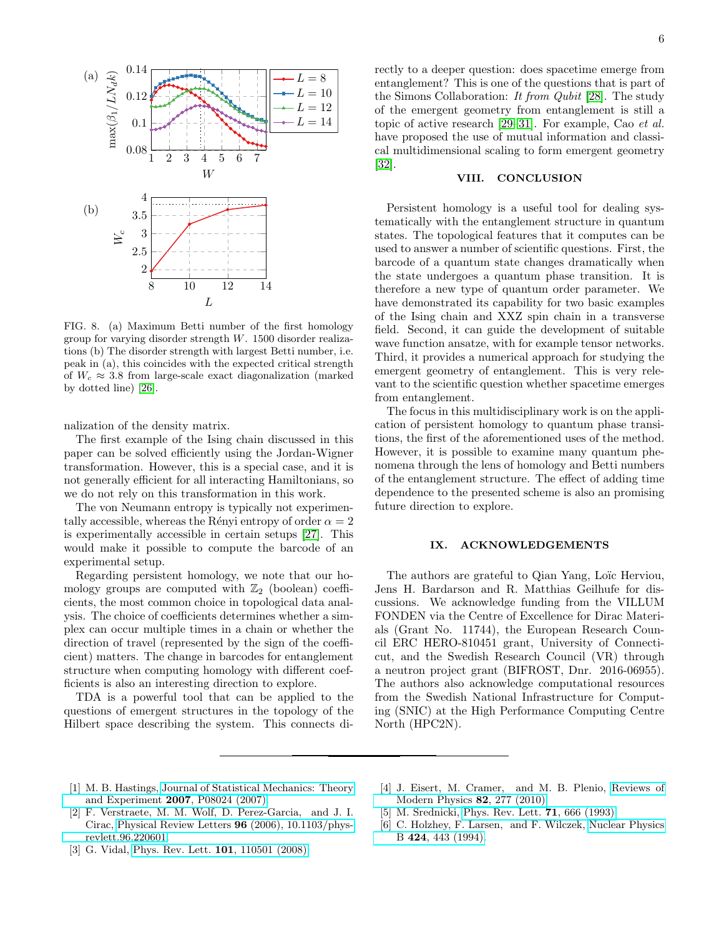

<span id="page-5-7"></span>FIG. 8. (a) Maximum Betti number of the first homology group for varying disorder strength W. 1500 disorder realizations (b) The disorder strength with largest Betti number, i.e. peak in (a), this coincides with the expected critical strength of  $W_c \approx 3.8$  from large-scale exact diagonalization (marked by dotted line) [\[26\]](#page-6-19).

nalization of the density matrix.

The first example of the Ising chain discussed in this paper can be solved efficiently using the Jordan-Wigner transformation. However, this is a special case, and it is not generally efficient for all interacting Hamiltonians, so we do not rely on this transformation in this work.

The von Neumann entropy is typically not experimentally accessible, whereas the Rényi entropy of order  $\alpha = 2$ is experimentally accessible in certain setups [\[27\]](#page-6-20). This would make it possible to compute the barcode of an experimental setup.

Regarding persistent homology, we note that our homology groups are computed with  $\mathbb{Z}_2$  (boolean) coefficients, the most common choice in topological data analysis. The choice of coefficients determines whether a simplex can occur multiple times in a chain or whether the direction of travel (represented by the sign of the coefficient) matters. The change in barcodes for entanglement structure when computing homology with different coefficients is also an interesting direction to explore.

TDA is a powerful tool that can be applied to the questions of emergent structures in the topology of the Hilbert space describing the system. This connects directly to a deeper question: does spacetime emerge from entanglement? This is one of the questions that is part of the Simons Collaboration: It from Qubit [\[28\]](#page-6-21). The study of the emergent geometry from entanglement is still a topic of active research [\[29–](#page-6-22)[31\]](#page-6-23). For example, Cao et al. have proposed the use of mutual information and classical multidimensional scaling to form emergent geometry [\[32\]](#page-6-24).

#### <span id="page-5-6"></span>VIII. CONCLUSION

Persistent homology is a useful tool for dealing systematically with the entanglement structure in quantum states. The topological features that it computes can be used to answer a number of scientific questions. First, the barcode of a quantum state changes dramatically when the state undergoes a quantum phase transition. It is therefore a new type of quantum order parameter. We have demonstrated its capability for two basic examples of the Ising chain and XXZ spin chain in a transverse field. Second, it can guide the development of suitable wave function ansatze, with for example tensor networks. Third, it provides a numerical approach for studying the emergent geometry of entanglement. This is very relevant to the scientific question whether spacetime emerges from entanglement.

The focus in this multidisciplinary work is on the application of persistent homology to quantum phase transitions, the first of the aforementioned uses of the method. However, it is possible to examine many quantum phenomena through the lens of homology and Betti numbers of the entanglement structure. The effect of adding time dependence to the presented scheme is also an promising future direction to explore.

# IX. ACKNOWLEDGEMENTS

The authors are grateful to Qian Yang, Loïc Herviou, Jens H. Bardarson and R. Matthias Geilhufe for discussions. We acknowledge funding from the VILLUM FONDEN via the Centre of Excellence for Dirac Materials (Grant No. 11744), the European Research Council ERC HERO-810451 grant, University of Connecticut, and the Swedish Research Council (VR) through a neutron project grant (BIFROST, Dnr. 2016-06955). The authors also acknowledge computational resources from the Swedish National Infrastructure for Computing (SNIC) at the High Performance Computing Centre North (HPC2N).

- <span id="page-5-0"></span>[1] M. B. Hastings, [Journal of Statistical Mechanics: Theory](http://dx.doi.org/10.1088/1742-5468/2007/08/p08024) [and Experiment](http://dx.doi.org/10.1088/1742-5468/2007/08/p08024) 2007, P08024 (2007).
- <span id="page-5-1"></span>[2] F. Verstraete, M. M. Wolf, D. Perez-Garcia, and J. I. Cirac, [Physical Review Letters](http://dx.doi.org/10.1103/physrevlett.96.220601) 96 (2006), 10.1103/phys[revlett.96.220601.](http://dx.doi.org/10.1103/physrevlett.96.220601)
- <span id="page-5-2"></span>[3] G. Vidal, [Phys. Rev. Lett.](http://dx.doi.org/10.1103/PhysRevLett.101.110501) 101, 110501 (2008).
- <span id="page-5-3"></span>[4] J. Eisert, M. Cramer, and M. B. Plenio, [Reviews of](http://dx.doi.org/10.1103/revmodphys.82.277) [Modern Physics](http://dx.doi.org/10.1103/revmodphys.82.277) 82, 277 (2010).
- <span id="page-5-4"></span>[5] M. Srednicki, [Phys. Rev. Lett.](http://dx.doi.org/10.1103/PhysRevLett.71.666)  $71,666$  (1993).
- <span id="page-5-5"></span>[6] C. Holzhey, F. Larsen, and F. Wilczek, [Nuclear Physics](http://dx.doi.org/10.1016/0550-3213(94)90402-2) B 424[, 443 \(1994\).](http://dx.doi.org/10.1016/0550-3213(94)90402-2)